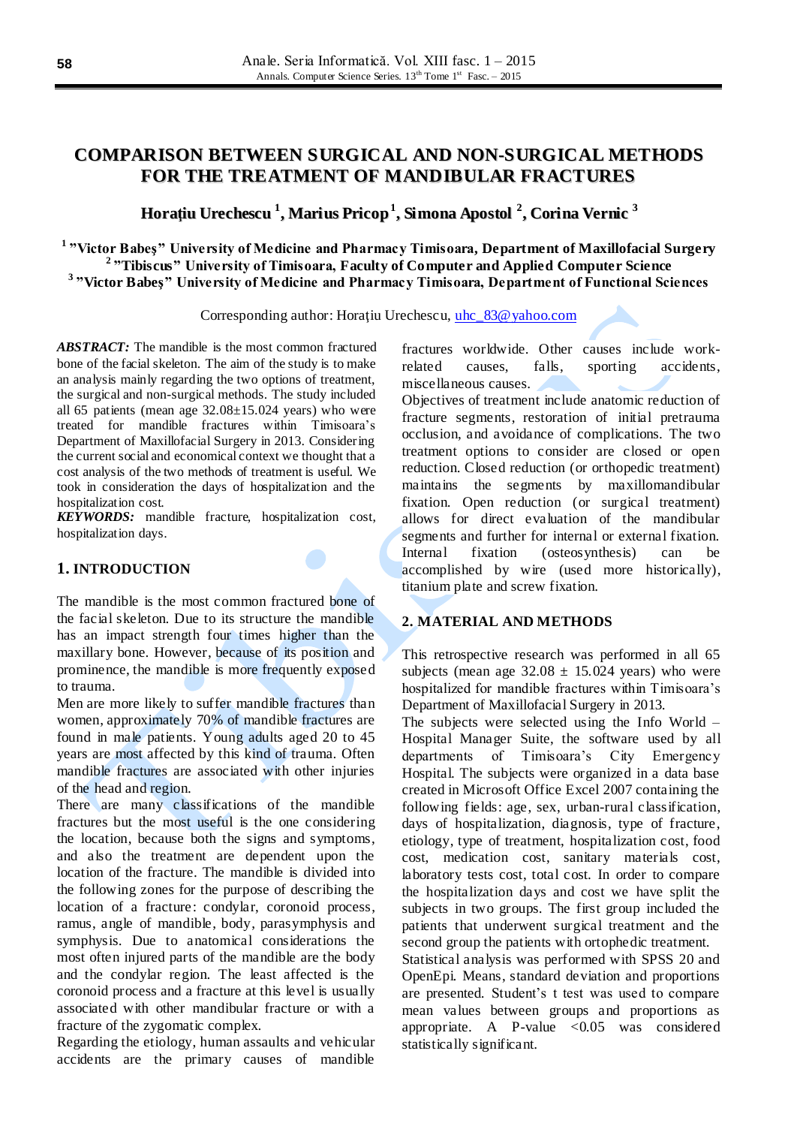# **COMPARISON BETWEEN SURGICAL AND NON-SURGICAL METHODS FOR THE TREATMENT OF MANDIBULAR FRACTURES**

# **Horaţiu Urechescu 1 , Marius Pricop 1 , Simona Apostol 2 , Corina Vernic 3**

**1 "Victor Babeş" University of Medicine and Pharmacy Timisoara, Department of Maxillofacial Surgery 2 "Tibiscus" University of Timisoara, Faculty of Computer and Applied Computer Science 3 "Victor Babeş" University of Medicine and Pharmacy Timisoara, Department of Functional Sciences**

Corresponding author: Horatiu Urechescu, uhc 83@yahoo.com

*ABSTRACT:* The mandible is the most common fractured bone of the facial skeleton. The aim of the study is to make an analysis mainly regarding the two options of treatment, the surgical and non-surgical methods. The study included all 65 patients (mean age  $32.08 \pm 15.024$  years) who were treated for mandible fractures within Timisoara's Department of Maxillofacial Surgery in 2013. Considering the current social and economical context we thought that a cost analysis of the two methods of treatment is useful. We took in consideration the days of hospitalization and the hospitalization cost.

*KEYWORDS:* mandible fracture, hospitalization cost, hospitalization days.

### **1. INTRODUCTION**

The mandible is the most common fractured bone of the facial skeleton. Due to its structure the mandible has an impact strength four times higher than the maxillary bone. However, because of its position and prominence, the mandible is more frequently exposed to trauma.

Men are more likely to suffer mandible fractures than women, approximately 70% of mandible fractures are found in male patients. Young adults aged 20 to 45 years are most affected by this kind of trauma. Often mandible fractures are associated with other injuries of the head and region.

There are many classifications of the mandible fractures but the most useful is the one considering the location, because both the signs and symptoms, and also the treatment are dependent upon the location of the fracture. The mandible is divided into the following zones for the purpose of describing the location of a fracture: condylar, coronoid process, ramus, angle of mandible, body, parasymphysis and symphysis. Due to anatomical considerations the most often injured parts of the mandible are the body and the condylar region. The least affected is the coronoid process and a fracture at this level is usually associated with other mandibular fracture or with a fracture of the zygomatic complex.

Regarding the etiology, human assaults and vehicular accidents are the primary causes of mandible

fractures worldwide. Other causes include workrelated causes, falls, sporting accidents, miscellaneous causes.

Objectives of treatment include anatomic reduction of fracture segments, restoration of initial pretrauma occlusion, and avoidance of complications. The two treatment options to consider are closed or open reduction. Closed reduction (or orthopedic treatment) maintains the segments by maxillomandibular fixation. Open reduction (or surgical treatment) allows for direct evaluation of the mandibular segments and further for internal or external fixation. Internal fixation (osteosynthesis) can be accomplished by wire (used more historically), titanium plate and screw fixation.

### **2. MATERIAL AND METHODS**

This retrospective research was performed in all 65 subjects (mean age  $32.08 \pm 15.024$  years) who were hospitalized for mandible fractures within Timisoara's Department of Maxillofacial Surgery in 2013.

The subjects were selected using the Info World – Hospital Manager Suite, the software used by all departments of Timisoara's City Emergency Hospital. The subjects were organized in a data base created in Microsoft Office Excel 2007 containing the following fields: age, sex, urban-rural classification, days of hospitalization, diagnosis, type of fracture, etiology, type of treatment, hospitalization cost, food cost, medication cost, sanitary materials cost, laboratory tests cost, total cost. In order to compare the hospitalization days and cost we have split the subjects in two groups. The first group included the patients that underwent surgical treatment and the second group the patients with ortophedic treatment.

Statistical analysis was performed with SPSS 20 and OpenEpi. Means, standard deviation and proportions are presented. Student's t test was used to compare mean values between groups and proportions as appropriate. A P-value  $\langle 0.05 \text{ was }$  considered statistically significant.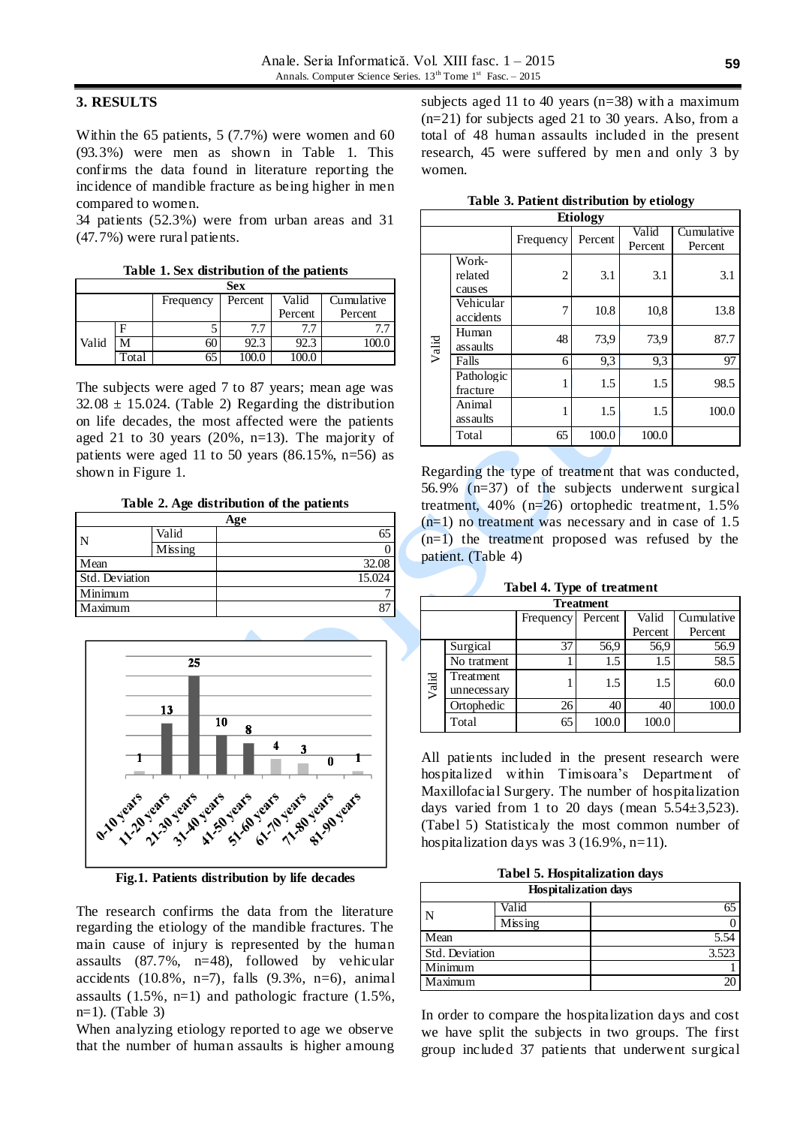### **3. RESULTS**

Within the 65 patients, 5 (7.7%) were women and 60 (93.3%) were men as shown in Table 1. This confirms the data found in literature reporting the incidence of mandible fracture as being higher in men compared to women.

34 patients (52.3%) were from urban areas and 31 (47.7%) were rural patients.

**Table 1. Sex distribution of the patients**

| <b>Sex</b> |       |           |                  |         |            |  |  |  |
|------------|-------|-----------|------------------|---------|------------|--|--|--|
|            |       | Frequency | Valid<br>Percent |         | Cumulative |  |  |  |
|            |       |           |                  | Percent | Percent    |  |  |  |
|            |       |           | 7.7              |         |            |  |  |  |
| Valid      |       | 60        | 92.3             | 92.     |            |  |  |  |
|            | 'otal | 65        |                  |         |            |  |  |  |

The subjects were aged 7 to 87 years; mean age was  $32.08 \pm 15.024$ . (Table 2) Regarding the distribution on life decades, the most affected were the patients aged 21 to 30 years (20%, n=13). The majority of patients were aged 11 to 50 years  $(86.15\%, n=56)$  as shown in Figure 1.

**Table 2. Age distribution of the patients**

|                |         | Age    |
|----------------|---------|--------|
| N              | Valid   | 65     |
|                | Missing |        |
| Mean           |         | 32.08  |
| Std. Deviation |         | 15.024 |
| Minimum        |         |        |
| Maximum        |         |        |
|                |         |        |



**Fig.1. Patients distribution by life decades**

The research confirms the data from the literature regarding the etiology of the mandible fractures. The main cause of injury is represented by the human assaults (87.7%, n=48), followed by vehicular accidents  $(10.8\%, n=7)$ , falls  $(9.3\%, n=6)$ , animal assaults (1.5%, n=1) and pathologic fracture (1.5%, n=1). (Table 3)

When analyzing etiology reported to age we observe that the number of human assaults is higher amoung

subjects aged 11 to 40 years (n=38) with a maximum (n=21) for subjects aged 21 to 30 years. Also, from a total of 48 human assaults included in the present research, 45 were suffered by men and only 3 by women.

|  |  | Table 3. Patient distribution by etiology |  |  |
|--|--|-------------------------------------------|--|--|
|--|--|-------------------------------------------|--|--|

| <b>Etiology</b> |            |           |         |         |            |  |  |  |  |
|-----------------|------------|-----------|---------|---------|------------|--|--|--|--|
|                 |            | Frequency | Percent | Valid   | Cumulative |  |  |  |  |
|                 |            |           |         | Percent | Percent    |  |  |  |  |
|                 | Work-      |           |         |         |            |  |  |  |  |
|                 | related    | 2         | 3.1     | 3.1     | 3.1        |  |  |  |  |
|                 | causes     |           |         |         |            |  |  |  |  |
|                 | Vehicular  | 7         | 10.8    | 10,8    | 13.8       |  |  |  |  |
|                 | accidents  |           |         |         |            |  |  |  |  |
|                 | Human      | 48        | 73,9    | 73,9    | 87.7       |  |  |  |  |
| Valid           | assaults   |           |         |         |            |  |  |  |  |
|                 | Falls      | 6         | 9,3     | 9,3     | 97         |  |  |  |  |
|                 | Pathologic | 1         | 1.5     | 1.5     | 98.5       |  |  |  |  |
|                 | fracture   |           |         |         |            |  |  |  |  |
|                 | Animal     | 1         | 1.5     | 1.5     | 100.0      |  |  |  |  |
|                 | assaults   |           |         |         |            |  |  |  |  |
|                 | Total      | 65        | 100.0   | 100.0   |            |  |  |  |  |

Regarding the type of treatment that was conducted, 56.9% (n=37) of the subjects underwent surgical treatment, 40% (n=26) ortophedic treatment, 1.5%  $(n=1)$  no treatment was necessary and in case of 1.5 (n=1) the treatment proposed was refused by the patient. (Table 4)

|  |  |  |  | Tabel 4. Type of treatment |  |
|--|--|--|--|----------------------------|--|
|--|--|--|--|----------------------------|--|

| <b>Treatment</b> |                                             |    |       |         |         |  |  |  |
|------------------|---------------------------------------------|----|-------|---------|---------|--|--|--|
|                  | Valid<br>Cumulative<br>Percent<br>Frequency |    |       |         |         |  |  |  |
|                  |                                             |    |       | Percent | Percent |  |  |  |
|                  | Surgical                                    | 37 | 56,9  | 56,9    | 56.9    |  |  |  |
| Valid            | No tratment                                 |    | 1.5   | 1.5     | 58.5    |  |  |  |
|                  | Treatment<br>unnecess ary                   |    | 1.5   | 1.5     | 60.0    |  |  |  |
|                  | Ortophedic                                  | 26 | 40    | 40      | 100.0   |  |  |  |
|                  | Total                                       | 65 | 100.0 | 100.0   |         |  |  |  |

All patients included in the present research were hospitalized within Timisoara's Department of Maxillofacial Surgery. The number of hospitalization days varied from 1 to 20 days (mean  $5.54\pm3.523$ ). (Tabel 5) Statisticaly the most common number of hospitalization days was  $3(16.9\%, n=11)$ .

**Tabel 5. Hospitalization days**

| <b>Hospitalization days</b> |         |       |  |  |  |
|-----------------------------|---------|-------|--|--|--|
| N                           | Valid   |       |  |  |  |
|                             | Missing |       |  |  |  |
| Mean                        |         | 5.54  |  |  |  |
| Std. Deviation              |         | 3.523 |  |  |  |
| Minimum                     |         |       |  |  |  |
| Maximum                     |         |       |  |  |  |

In order to compare the hospitalization days and cost we have split the subjects in two groups. The first group included 37 patients that underwent surgical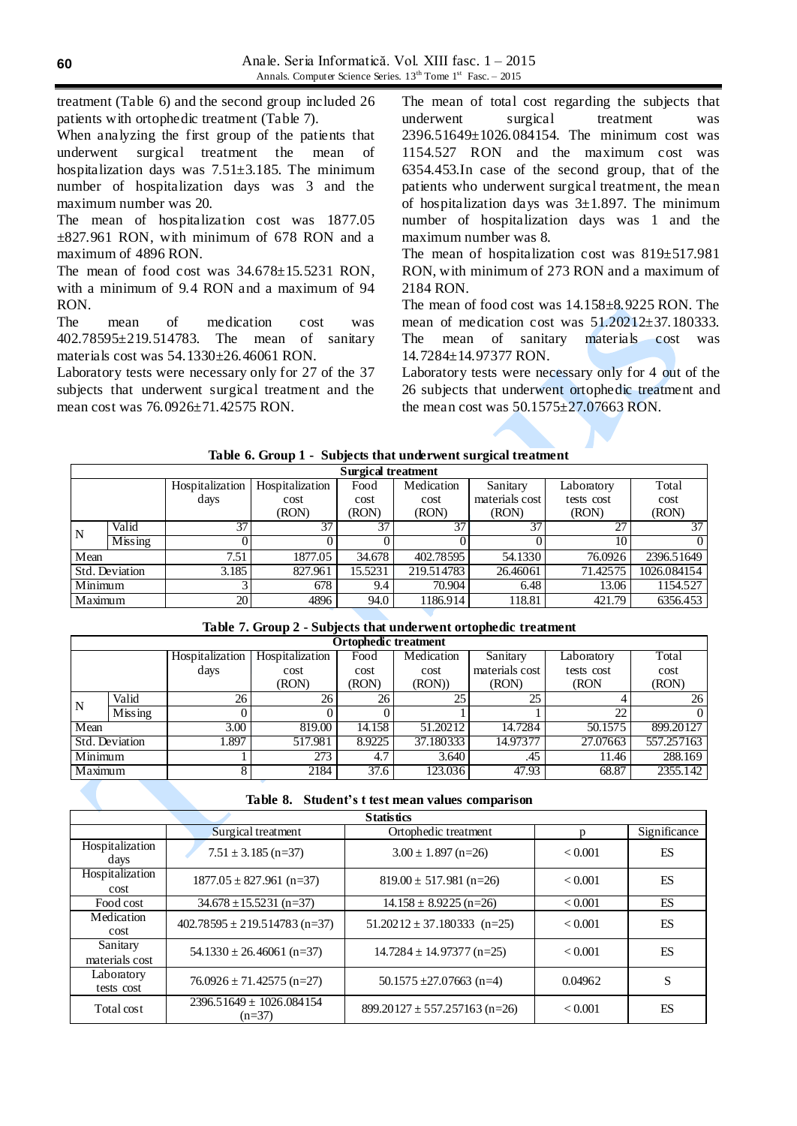treatment (Table 6) and the second group included 26 patients with ortophedic treatment (Table 7).

When analyzing the first group of the patients that underwent surgical treatment the mean of hospitalization days was  $7.51\pm3.185$ . The minimum number of hospitalization days was 3 and the maximum number was 20.

The mean of hospitalization cost was 1877.05  $\pm$ 827.961 RON, with minimum of 678 RON and a maximum of 4896 RON.

The mean of food cost was  $34.678 \pm 15.5231$  RON, with a minimum of 9.4 RON and a maximum of 94 RON.

The mean of medication cost was 402.78595±219.514783. The mean of sanitary materials cost was 54.1330±26.46061 RON.

Laboratory tests were necessary only for 27 of the 37 subjects that underwent surgical treatment and the mean cost was 76.0926±71.42575 RON.

The mean of total cost regarding the subjects that underwent surgical treatment was 2396.51649±1026.084154. The minimum cost was 1154.527 RON and the maximum cost was 6354.453.In case of the second group, that of the patients who underwent surgical treatment, the mean of hospitalization days was  $3\pm 1.897$ . The minimum number of hospitalization days was 1 and the maximum number was 8.

The mean of hospitalization cost was 819±517.981 RON, with minimum of 273 RON and a maximum of 2184 RON.

The mean of food cost was 14.158±8.9225 RON. The mean of medication cost was 51.20212±37.180333. The mean of sanitary materials cost was 14.7284±14.97377 RON.

Laboratory tests were necessary only for 4 out of the 26 subjects that underwent ortophedic treatment and the mean cost was  $50.1575 \pm 27.07663$  RON.

| Table 6. Group 1 - Subjects that underwent surgical treatment |  |
|---------------------------------------------------------------|--|
|                                                               |  |

|             | <b>Surgical treatment</b> |                 |                 |         |            |                |            |             |
|-------------|---------------------------|-----------------|-----------------|---------|------------|----------------|------------|-------------|
|             |                           | Hospitalization | Hospitalization | Food    | Medication | Sanitary       | Laboratory | Total       |
|             |                           | days            | cost            | cost    | cost       | materials cost | tests cost | cost        |
|             |                           |                 | (RON)           | (RON)   | (RON)      | (RON)          | (RON)      | (RON)       |
| $\mathbf N$ | Valid                     | 37              | 37              | 37      | 37         | 37             | 27         | 37          |
|             | Missing                   |                 |                 |         |            |                | 10         |             |
| Mean        |                           | 7.51            | 1877.05         | 34.678  | 402.78595  | 54.1330        | 76.0926    | 2396.51649  |
|             | Std. Deviation            | 3.185           | 827.961         | 15.5231 | 219.514783 | 26.46061       | 71.42575   | 1026.084154 |
| Minimum     |                           |                 | 678             | 9.4     | 70.904     | 6.48           | 13.06      | 1154.527    |
| Maximum     |                           | 20              | 4896            | 94.0    | 1186.914   | 118.81         | 421.79     | 6356.453    |

**Table 7. Group 2 - Subjects that underwent ortophedic treatment**

|         | <b>Ortophedic treatment</b> |                 |                 |        |            |                |            |            |
|---------|-----------------------------|-----------------|-----------------|--------|------------|----------------|------------|------------|
|         |                             | Hospitalization | Hospitalization | Food   | Medication | Sanitary       | Laboratory | Total      |
|         |                             | days            | cost            | cost   | cost       | materials cost | tests cost | cost       |
|         |                             |                 | (RON)           | (RON)  | (RON))     | (RON)          | (RON       | (RON)      |
|         | Valid                       | 26              | 26              | 26     | 25         | 25             |            | 26         |
| N       | Missing                     |                 |                 |        |            |                | 22         |            |
| Mean    |                             | 3.00            | 819.00          | 14.158 | 51.20212   | 14.7284        | 50.1575    | 899.20127  |
|         | Std. Deviation              | 1.897           | 517.981         | 8.9225 | 37.180333  | 14.97377       | 27.07663   | 557.257163 |
| Minimum |                             |                 | 273             | 4.7    | 3.640      | .45            | 11.46      | 288.169    |
| Maximum |                             | 8               | 2184            | 37.6   | 123.036    | 47.93          | 68.87      | 2355.142   |

|                            | <b>Statistics</b>                        |                                   |         |              |  |  |  |  |  |
|----------------------------|------------------------------------------|-----------------------------------|---------|--------------|--|--|--|--|--|
|                            | Surgical treatment                       | Ortophedic treatment              | n       | Significance |  |  |  |  |  |
| Hospitalization<br>days    | $7.51 \pm 3.185$ (n=37)                  | $3.00 \pm 1.897$ (n=26)           | < 0.001 | ES           |  |  |  |  |  |
| Hospitalization<br>cost    | $1877.05 \pm 827.961$ (n=37)             | $819.00 \pm 517.981$ (n=26)       | < 0.001 | ES           |  |  |  |  |  |
| Food cost                  | $34.678 \pm 15.5231$ (n=37)              | $14.158 \pm 8.9225$ (n=26)        | < 0.001 | ES           |  |  |  |  |  |
| Medication<br>cost         | $402.78595 \pm 219.514783$ (n=37)        | $51.20212 \pm 37.180333$ (n=25)   | < 0.001 | ES           |  |  |  |  |  |
| Sanitary<br>materials cost | $54.1330 \pm 26.46061$ (n=37)            | $14.7284 \pm 14.97377$ (n=25)     | < 0.001 | ES           |  |  |  |  |  |
| Laboratory<br>tests cost   | $76.0926 \pm 71.42575$ (n=27)            | 50.1575 $\pm$ 27.07663 (n=4)      | 0.04962 | S            |  |  |  |  |  |
| Total cost                 | $2396.51649 \pm 1026.084154$<br>$(n=37)$ | $899.20127 \pm 557.257163$ (n=26) | < 0.001 | ES           |  |  |  |  |  |